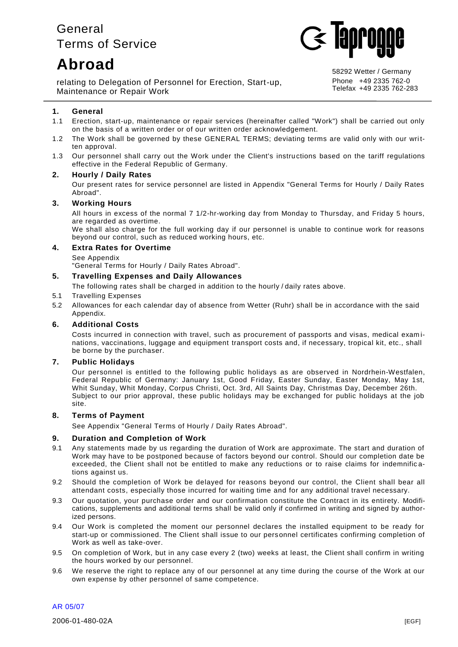# General Terms of Service

# **Abroad**



relating to Delegation of Personnel for Erection, Start-up, Maintenance or Repair Work

58292 Wetter / Germany Phone +49 2335 762-0 Telefax +49 2335 762-283

# **1. General**

- 1.1 Erection, start-up, maintenance or repair services (hereinafter called "Work") shall be carried out only on the basis of a written order or of our written order acknowledgement.
- 1.2 The Work shall be governed by these GENERAL TERMS; deviating terms are valid only with our written approval.
- 1.3 Our personnel shall carry out the Work under the Client's instructions based on the tariff regulations effective in the Federal Republic of Germany.

#### **2. Hourly / Daily Rates**

Our present rates for service personnel are listed in Appendix "General Terms for Hourly / Daily Rates Abroad".

## **3. Working Hours**

All hours in excess of the normal 7 1/2-hr-working day from Monday to Thursday, and Friday 5 hours, are regarded as overtime.

We shall also charge for the full working day if our personnel is unable to continue work for reasons beyond our control, such as reduced working hours, etc.

#### **4. Extra Rates for Overtime**

#### See Appendix

"General Terms for Hourly / Daily Rates Abroad".

#### **5. Travelling Expenses and Daily Allowances**

The following rates shall be charged in addition to the hourly / daily rates above.

#### 5.1 Travelling Expenses

5.2 Allowances for each calendar day of absence from Wetter (Ruhr) shall be in accordance with the said Appendix.

#### **6. Additional Costs**

Costs incurred in connection with travel, such as procurement of passports and visas, medical exam inations, vaccinations, luggage and equipment transport costs and, if necessary, tropical kit, etc., shall be borne by the purchaser.

# **7. Public Holidays**

Our personnel is entitled to the following public holidays as are observed in Nordrhein-Westfalen, Federal Republic of Germany: January 1st, Good Friday, Easter Sunday, Easter Monday, May 1st, Whit Sunday, Whit Monday, Corpus Christi, Oct. 3rd, All Saints Day, Christmas Day, December 26th. Subject to our prior approval, these public holidays may be exchanged for public holidays at the job site.

#### **8. Terms of Payment**

See Appendix "General Terms of Hourly / Daily Rates Abroad".

#### **9. Duration and Completion of Work**

- 9.1 Any statements made by us regarding the duration of Work are approximate. The start and duration of Work may have to be postponed because of factors beyond our control. Should our completion date be exceeded, the Client shall not be entitled to make any reductions or to raise claims for indemnific ations against us.
- 9.2 Should the completion of Work be delayed for reasons beyond our control, the Client shall bear all attendant costs, especially those incurred for waiting time and for any additional travel necessary.
- 9.3 Our quotation, your purchase order and our confirmation constitute the Contract in its entirety. Modifications, supplements and additional terms shall be valid only if confirmed in writing and signed by authorized persons.
- 9.4 Our Work is completed the moment our personnel declares the installed equipment to be ready for start-up or commissioned. The Client shall issue to our personnel certificates confirming completion of Work as well as take-over.
- 9.5 On completion of Work, but in any case every 2 (two) weeks at least, the Client shall confirm in writing the hours worked by our personnel.
- 9.6 We reserve the right to replace any of our personnel at any time during the course of the Work at our own expense by other personnel of same competence.

AR 05/07

2006-01-480-02A [EGF]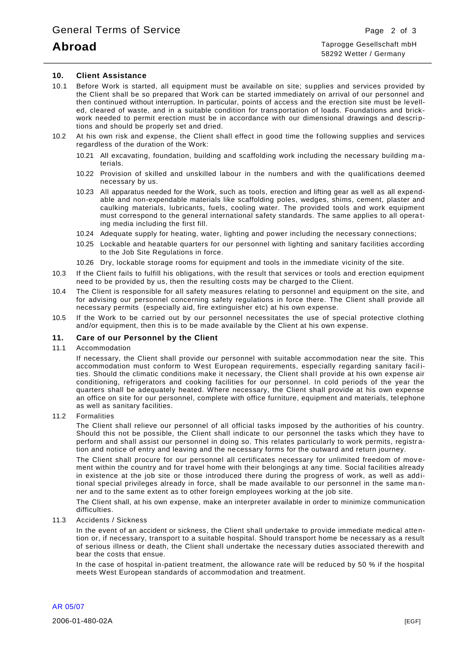# **Abroad**

#### **10. Client Assistance**

- 10.1 Before Work is started, all equipment must be available on site; su pplies and services provided by the Client shall be so prepared that Work can be started immediately on arrival of our personnel and then continued without interruption. In particular, points of access and the erection site must be levelled, cleared of waste, and in a suitable condition for transportation of loads. Foundations and brickwork needed to permit erection must be in accordance with our dimensional drawings and descriptions and should be properly set and dried.
- 10.2 At his own risk and expense, the Client shall effect in good time the f ollowing supplies and services regardless of the duration of the Work:
	- 10.21 All excavating, foundation, building and scaffolding work including the necessary building m aterials.
	- 10.22 Provision of skilled and unskilled labour in the numbers and with the qualifications deemed necessary by us.
	- 10.23 All apparatus needed for the Work, such as tools, erection and lifting gear as well as all expendable and non-expendable materials like scaffolding poles, wedges, shims, cement, plaster and caulking materials, lubricants, fuels, cooling water. The provided tools and work equipment must correspond to the general international safety standards. The same applies to all opera ting media including the first fill.
	- 10.24 Adequate supply for heating, water, lighting and power including the necessary connections;
	- 10.25 Lockable and heatable quarters for our personnel with lighting and sanitary facilities according to the Job Site Regulations in force.
	- 10.26 Dry, lockable storage rooms for equipment and tools in the immediate vicinity of the site.
- 10.3 If the Client fails to fulfill his obligations, with the result that services or tools and erection equipment need to be provided by us, then the resulting costs may be charged to the Client.
- 10.4 The Client is responsible for all safety measures relating to personnel and equipment on the site, and for advising our personnel concerning safety regulations in force there. The Client shall provide all necessary permits (especially aid, fire extinguisher etc) at his own expense.
- 10.5 If the Work to be carried out by our personnel necessitates the use of special protective clothing and/or equipment, then this is to be made available by the Client at his own expense.

#### **11. Care of our Personnel by the Client**

#### 11.1 Accommodation

If necessary, the Client shall provide our personnel with suitable accommodation near the site. This accommodation must conform to West European requirements, especially regarding sanitary facil ities. Should the climatic conditions make it necessary, the Client shall provide at his own expense air conditioning, refrigerators and cooking facilities for our personnel. In cold periods of the year the quarters shall be adequately heated. Where necessary, the Client shall provide at his own expense an office on site for our personnel, complete with office furniture, equipment and materials, tel ephone as well as sanitary facilities.

#### 11.2 Formalities

The Client shall relieve our personnel of all official tasks imposed by the authorities of his country. Should this not be possible, the Client shall indicate to our personnel the tasks which they have to perform and shall assist our personnel in doing so. This relates particularly to work permits, registration and notice of entry and leaving and the necessary forms for the outward and return journey.

The Client shall procure for our personnel all certificates necessary for unlimited freedom of movement within the country and for travel home with their belongings at any time. Social facilities already in existence at the job site or those introduced there during the progress of work, as well as additional special privileges already in force, shall be made available to our personnel in the same ma nner and to the same extent as to other foreign employees working at the job site.

The Client shall, at his own expense, make an interpreter available in order to minimize communication difficulties.

#### 11.3 Accidents / Sickness

In the event of an accident or sickness, the Client shall undertake to provide immediate medical attention or, if necessary, transport to a suitable hospital. Should transport home be necessary as a result of serious illness or death, the Client shall undertake the necessary duties associated therewith and bear the costs that ensue.

In the case of hospital in-patient treatment, the allowance rate will be reduced by 50 % if the hospital meets West European standards of accommodation and treatment.